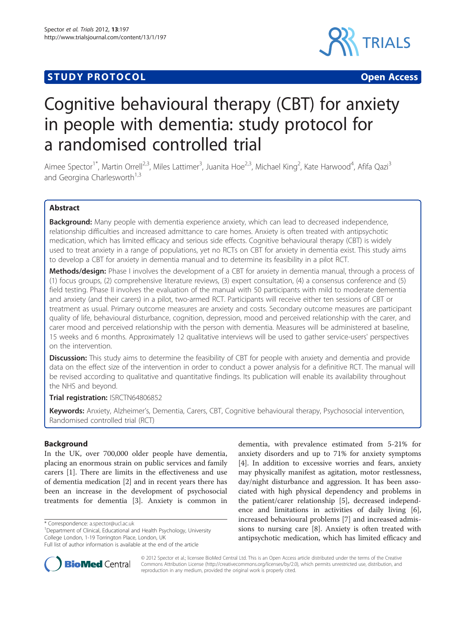# **STUDY PROTOCOL CONSUMING THE CONSUMING OPEN ACCESS**



# Cognitive behavioural therapy (CBT) for anxiety in people with dementia: study protocol for a randomised controlled trial

Aimee Spector<sup>1\*</sup>, Martin Orrell<sup>2,3</sup>, Miles Lattimer<sup>3</sup>, Juanita Hoe<sup>2,3</sup>, Michael King<sup>2</sup>, Kate Harwood<sup>4</sup>, Afifa Qazi<sup>3</sup> and Georgina Charlesworth $1,3$ 

# Abstract

**Background:** Many people with dementia experience anxiety, which can lead to decreased independence, relationship difficulties and increased admittance to care homes. Anxiety is often treated with antipsychotic medication, which has limited efficacy and serious side effects. Cognitive behavioural therapy (CBT) is widely used to treat anxiety in a range of populations, yet no RCTs on CBT for anxiety in dementia exist. This study aims to develop a CBT for anxiety in dementia manual and to determine its feasibility in a pilot RCT.

Methods/design: Phase I involves the development of a CBT for anxiety in dementia manual, through a process of (1) focus groups, (2) comprehensive literature reviews, (3) expert consultation, (4) a consensus conference and (5) field testing. Phase II involves the evaluation of the manual with 50 participants with mild to moderate dementia and anxiety (and their carers) in a pilot, two-armed RCT. Participants will receive either ten sessions of CBT or treatment as usual. Primary outcome measures are anxiety and costs. Secondary outcome measures are participant quality of life, behavioural disturbance, cognition, depression, mood and perceived relationship with the carer, and carer mood and perceived relationship with the person with dementia. Measures will be administered at baseline, 15 weeks and 6 months. Approximately 12 qualitative interviews will be used to gather service-users' perspectives on the intervention.

**Discussion:** This study aims to determine the feasibility of CBT for people with anxiety and dementia and provide data on the effect size of the intervention in order to conduct a power analysis for a definitive RCT. The manual will be revised according to qualitative and quantitative findings. Its publication will enable its availability throughout the NHS and beyond.

Trial registration: ISRCTN64806852

Keywords: Anxiety, Alzheimer's, Dementia, Carers, CBT, Cognitive behavioural therapy, Psychosocial intervention, Randomised controlled trial (RCT)

# Background

In the UK, over 700,000 older people have dementia, placing an enormous strain on public services and family carers [\[1](#page-5-0)]. There are limits in the effectiveness and use of dementia medication [\[2](#page-5-0)] and in recent years there has been an increase in the development of psychosocial treatments for dementia [\[3](#page-5-0)]. Anxiety is common in

\* Correspondence: [a.spector@ucl.ac.uk](mailto:a.spector@ucl.ac.uk) <sup>1</sup>

dementia, with prevalence estimated from 5-21% for anxiety disorders and up to 71% for anxiety symptoms [[4\]](#page-5-0). In addition to excessive worries and fears, anxiety may physically manifest as agitation, motor restlessness, day/night disturbance and aggression. It has been associated with high physical dependency and problems in the patient/carer relationship [[5\]](#page-5-0), decreased independence and limitations in activities of daily living [\[6](#page-5-0)], increased behavioural problems [\[7](#page-5-0)] and increased admissions to nursing care [[8\]](#page-5-0). Anxiety is often treated with antipsychotic medication, which has limited efficacy and



© 2012 Spector et al.; licensee BioMed Central Ltd. This is an Open Access article distributed under the terms of the Creative Commons Attribution License [\(http://creativecommons.org/licenses/by/2.0\)](http://creativecommons.org/licenses/by/2.0), which permits unrestricted use, distribution, and reproduction in any medium, provided the original work is properly cited.

<sup>&</sup>lt;sup>1</sup>Department of Clinical, Educational and Health Psychology, University College London, 1-19 Torrington Place, London, UK

Full list of author information is available at the end of the article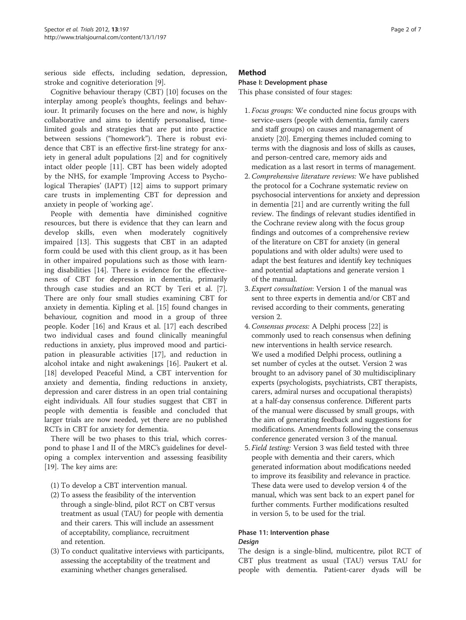serious side effects, including sedation, depression, stroke and cognitive deterioration [\[9](#page-5-0)].

Cognitive behaviour therapy (CBT) [\[10](#page-5-0)] focuses on the interplay among people's thoughts, feelings and behaviour. It primarily focuses on the here and now, is highly collaborative and aims to identify personalised, timelimited goals and strategies that are put into practice between sessions ("homework"). There is robust evidence that CBT is an effective first-line strategy for anxiety in general adult populations [\[2](#page-5-0)] and for cognitively intact older people [[11](#page-5-0)]. CBT has been widely adopted by the NHS, for example 'Improving Access to Psychological Therapies' (IAPT) [[12\]](#page-5-0) aims to support primary care trusts in implementing CBT for depression and anxiety in people of 'working age'.

People with dementia have diminished cognitive resources, but there is evidence that they can learn and develop skills, even when moderately cognitively impaired [\[13](#page-5-0)]. This suggests that CBT in an adapted form could be used with this client group, as it has been in other impaired populations such as those with learning disabilities [\[14](#page-5-0)]. There is evidence for the effectiveness of CBT for depression in dementia, primarily through case studies and an RCT by Teri et al. [\[7](#page-5-0)]. There are only four small studies examining CBT for anxiety in dementia. Kipling et al. [\[15\]](#page-5-0) found changes in behaviour, cognition and mood in a group of three people. Koder [[16](#page-5-0)] and Kraus et al. [[17](#page-5-0)] each described two individual cases and found clinically meaningful reductions in anxiety, plus improved mood and participation in pleasurable activities [[17\]](#page-5-0), and reduction in alcohol intake and night awakenings [\[16\]](#page-5-0). Paukert et al. [[18\]](#page-5-0) developed Peaceful Mind, a CBT intervention for anxiety and dementia, finding reductions in anxiety, depression and carer distress in an open trial containing eight individuals. All four studies suggest that CBT in people with dementia is feasible and concluded that larger trials are now needed, yet there are no published RCTs in CBT for anxiety for dementia.

There will be two phases to this trial, which correspond to phase I and II of the MRC's guidelines for developing a complex intervention and assessing feasibility [[19\]](#page-5-0). The key aims are:

- (1) To develop a CBT intervention manual.
- (2) To assess the feasibility of the intervention through a single-blind, pilot RCT on CBT versus treatment as usual (TAU) for people with dementia and their carers. This will include an assessment of acceptability, compliance, recruitment and retention.
- (3) To conduct qualitative interviews with participants, assessing the acceptability of the treatment and examining whether changes generalised.

# Method

### Phase I: Development phase

This phase consisted of four stages:

- 1. Focus groups: We conducted nine focus groups with service-users (people with dementia, family carers and staff groups) on causes and management of anxiety [\[20](#page-5-0)]. Emerging themes included coming to terms with the diagnosis and loss of skills as causes, and person-centred care, memory aids and medication as a last resort in terms of management.
- 2. Comprehensive literature reviews: We have published the protocol for a Cochrane systematic review on psychosocial interventions for anxiety and depression in dementia [[21](#page-5-0)] and are currently writing the full review. The findings of relevant studies identified in the Cochrane review along with the focus group findings and outcomes of a comprehensive review of the literature on CBT for anxiety (in general populations and with older adults) were used to adapt the best features and identify key techniques and potential adaptations and generate version 1 of the manual.
- 3. Expert consultation: Version 1 of the manual was sent to three experts in dementia and/or CBT and revised according to their comments, generating version 2.
- 4. Consensus process: A Delphi process [\[22\]](#page-5-0) is commonly used to reach consensus when defining new interventions in health service research. We used a modified Delphi process, outlining a set number of cycles at the outset. Version 2 was brought to an advisory panel of 30 multidisciplinary experts (psychologists, psychiatrists, CBT therapists, carers, admiral nurses and occupational therapists) at a half-day consensus conference. Different parts of the manual were discussed by small groups, with the aim of generating feedback and suggestions for modifications. Amendments following the consensus conference generated version 3 of the manual.
- 5. Field testing: Version 3 was field tested with three people with dementia and their carers, which generated information about modifications needed to improve its feasibility and relevance in practice. These data were used to develop version 4 of the manual, which was sent back to an expert panel for further comments. Further modifications resulted in version 5, to be used for the trial.

## Phase 11: Intervention phase Design

The design is a single-blind, multicentre, pilot RCT of CBT plus treatment as usual (TAU) versus TAU for people with dementia. Patient-carer dyads will be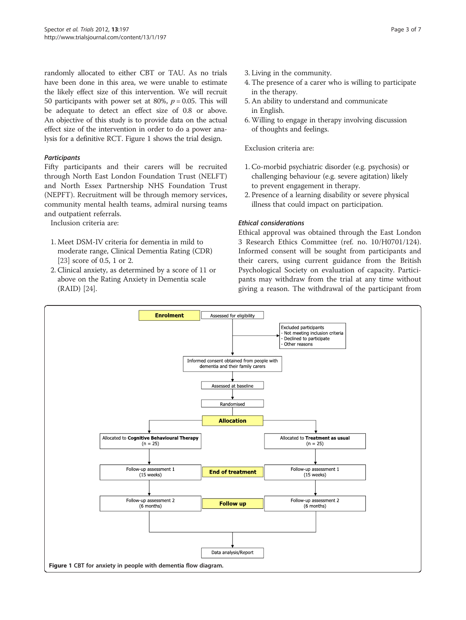randomly allocated to either CBT or TAU. As no trials have been done in this area, we were unable to estimate the likely effect size of this intervention. We will recruit 50 participants with power set at 80%,  $p = 0.05$ . This will be adequate to detect an effect size of 0.8 or above. An objective of this study is to provide data on the actual effect size of the intervention in order to do a power analysis for a definitive RCT. Figure 1 shows the trial design.

# **Participants**

Fifty participants and their carers will be recruited through North East London Foundation Trust (NELFT) and North Essex Partnership NHS Foundation Trust (NEPFT). Recruitment will be through memory services, community mental health teams, admiral nursing teams and outpatient referrals.

Inclusion criteria are:

- 1. Meet DSM-IV criteria for dementia in mild to moderate range, Clinical Dementia Rating (CDR) [[23](#page-5-0)] score of 0.5, 1 or 2.
- 2. Clinical anxiety, as determined by a score of 11 or above on the Rating Anxiety in Dementia scale (RAID) [\[24\]](#page-5-0).
- 3. Living in the community.
- 4. The presence of a carer who is willing to participate in the therapy.
- 5. An ability to understand and communicate in English.
- 6. Willing to engage in therapy involving discussion of thoughts and feelings.

Exclusion criteria are:

- 1. Co-morbid psychiatric disorder (e.g. psychosis) or challenging behaviour (e.g. severe agitation) likely to prevent engagement in therapy.
- 2. Presence of a learning disability or severe physical illness that could impact on participation.

# Ethical considerations

Ethical approval was obtained through the East London 3 Research Ethics Committee (ref. no. 10/H0701/124). Informed consent will be sought from participants and their carers, using current guidance from the British Psychological Society on evaluation of capacity. Participants may withdraw from the trial at any time without giving a reason. The withdrawal of the participant from

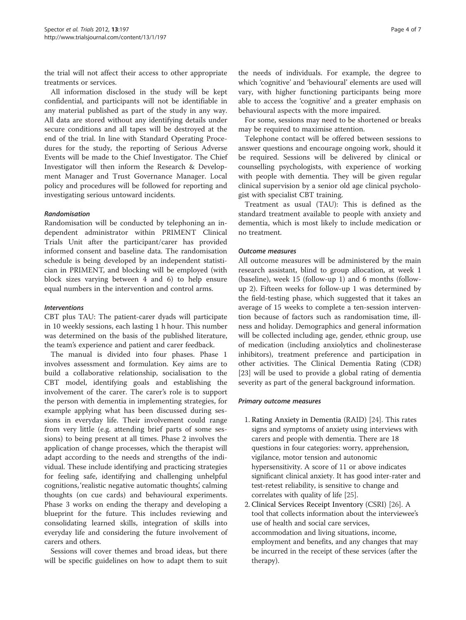the trial will not affect their access to other appropriate treatments or services.

All information disclosed in the study will be kept confidential, and participants will not be identifiable in any material published as part of the study in any way. All data are stored without any identifying details under secure conditions and all tapes will be destroyed at the end of the trial. In line with Standard Operating Procedures for the study, the reporting of Serious Adverse Events will be made to the Chief Investigator. The Chief Investigator will then inform the Research & Development Manager and Trust Governance Manager. Local policy and procedures will be followed for reporting and investigating serious untoward incidents.

### Randomisation

Randomisation will be conducted by telephoning an independent administrator within PRIMENT Clinical Trials Unit after the participant/carer has provided informed consent and baseline data. The randomisation schedule is being developed by an independent statistician in PRIMENT, and blocking will be employed (with block sizes varying between 4 and 6) to help ensure equal numbers in the intervention and control arms.

#### Interventions

CBT plus TAU: The patient-carer dyads will participate in 10 weekly sessions, each lasting 1 h hour. This number was determined on the basis of the published literature, the team's experience and patient and carer feedback.

The manual is divided into four phases. Phase 1 involves assessment and formulation. Key aims are to build a collaborative relationship, socialisation to the CBT model, identifying goals and establishing the involvement of the carer. The carer's role is to support the person with dementia in implementing strategies, for example applying what has been discussed during sessions in everyday life. Their involvement could range from very little (e.g. attending brief parts of some sessions) to being present at all times. Phase 2 involves the application of change processes, which the therapist will adapt according to the needs and strengths of the individual. These include identifying and practicing strategies for feeling safe, identifying and challenging unhelpful cognitions, 'realistic negative automatic thoughts', calming thoughts (on cue cards) and behavioural experiments. Phase 3 works on ending the therapy and developing a blueprint for the future. This includes reviewing and consolidating learned skills, integration of skills into everyday life and considering the future involvement of carers and others.

Sessions will cover themes and broad ideas, but there will be specific guidelines on how to adapt them to suit

the needs of individuals. For example, the degree to which 'cognitive' and 'behavioural' elements are used will vary, with higher functioning participants being more able to access the 'cognitive' and a greater emphasis on behavioural aspects with the more impaired.

For some, sessions may need to be shortened or breaks may be required to maximise attention.

Telephone contact will be offered between sessions to answer questions and encourage ongoing work, should it be required. Sessions will be delivered by clinical or counselling psychologists, with experience of working with people with dementia. They will be given regular clinical supervision by a senior old age clinical psychologist with specialist CBT training.

Treatment as usual (TAU): This is defined as the standard treatment available to people with anxiety and dementia, which is most likely to include medication or no treatment.

#### Outcome measures

All outcome measures will be administered by the main research assistant, blind to group allocation, at week 1 (baseline), week 15 (follow-up 1) and 6 months (followup 2). Fifteen weeks for follow-up 1 was determined by the field-testing phase, which suggested that it takes an average of 15 weeks to complete a ten-session intervention because of factors such as randomisation time, illness and holiday. Demographics and general information will be collected including age, gender, ethnic group, use of medication (including anxiolytics and cholinesterase inhibitors), treatment preference and participation in other activities. The Clinical Dementia Rating (CDR) [[23\]](#page-5-0) will be used to provide a global rating of dementia severity as part of the general background information.

#### Primary outcome measures

- 1. Rating Anxiety in Dementia (RAID) [[24\]](#page-5-0). This rates signs and symptoms of anxiety using interviews with carers and people with dementia. There are 18 questions in four categories: worry, apprehension, vigilance, motor tension and autonomic hypersensitivity. A score of 11 or above indicates significant clinical anxiety. It has good inter-rater and test-retest reliability, is sensitive to change and correlates with quality of life [\[25\]](#page-5-0).
- 2. Clinical Services Receipt Inventory (CSRI) [\[26\]](#page-6-0). A tool that collects information about the interviewee's use of health and social care services, accommodation and living situations, income, employment and benefits, and any changes that may be incurred in the receipt of these services (after the therapy).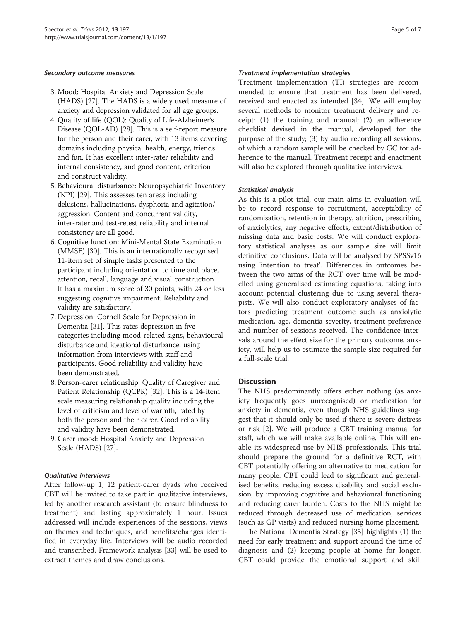## Secondary outcome measures

- 3. Mood: Hospital Anxiety and Depression Scale (HADS) [\[27](#page-6-0)]. The HADS is a widely used measure of anxiety and depression validated for all age groups.
- 4. Quality of life (QOL): Quality of Life-Alzheimer's Disease (QOL-AD) [[28\]](#page-6-0). This is a self-report measure for the person and their carer, with 13 items covering domains including physical health, energy, friends and fun. It has excellent inter-rater reliability and internal consistency, and good content, criterion and construct validity.
- 5. Behavioural disturbance: Neuropsychiatric Inventory (NPI) [\[29\]](#page-6-0). This assesses ten areas including delusions, hallucinations, dysphoria and agitation/ aggression. Content and concurrent validity, inter-rater and test-retest reliability and internal consistency are all good.
- 6. Cognitive function: Mini-Mental State Examination (MMSE) [[30](#page-6-0)]. This is an internationally recognised, 11-item set of simple tasks presented to the participant including orientation to time and place, attention, recall, language and visual construction. It has a maximum score of 30 points, with 24 or less suggesting cognitive impairment. Reliability and validity are satisfactory.
- 7. Depression: Cornell Scale for Depression in Dementia [[31](#page-6-0)]. This rates depression in five categories including mood-related signs, behavioural disturbance and ideational disturbance, using information from interviews with staff and participants. Good reliability and validity have been demonstrated.
- 8. Person-carer relationship: Quality of Caregiver and Patient Relationship (QCPR) [[32\]](#page-6-0). This is a 14-item scale measuring relationship quality including the level of criticism and level of warmth, rated by both the person and their carer. Good reliability and validity have been demonstrated.
- 9. Carer mood: Hospital Anxiety and Depression Scale (HADS) [[27](#page-6-0)].

# Qualitative interviews

After follow-up 1, 12 patient-carer dyads who received CBT will be invited to take part in qualitative interviews, led by another research assistant (to ensure blindness to treatment) and lasting approximately 1 hour. Issues addressed will include experiences of the sessions, views on themes and techniques, and benefits/changes identified in everyday life. Interviews will be audio recorded and transcribed. Framework analysis [[33](#page-6-0)] will be used to extract themes and draw conclusions.

### Treatment implementation strategies

Treatment implementation (TI) strategies are recommended to ensure that treatment has been delivered, received and enacted as intended [\[34](#page-6-0)]. We will employ several methods to monitor treatment delivery and receipt: (1) the training and manual; (2) an adherence checklist devised in the manual, developed for the purpose of the study; (3) by audio recording all sessions, of which a random sample will be checked by GC for adherence to the manual. Treatment receipt and enactment will also be explored through qualitative interviews.

### Statistical analysis

As this is a pilot trial, our main aims in evaluation will be to record response to recruitment, acceptability of randomisation, retention in therapy, attrition, prescribing of anxiolytics, any negative effects, extent/distribution of missing data and basic costs. We will conduct exploratory statistical analyses as our sample size will limit definitive conclusions. Data will be analysed by SPSSv16 using 'intention to treat'. Differences in outcomes between the two arms of the RCT over time will be modelled using generalised estimating equations, taking into account potential clustering due to using several therapists. We will also conduct exploratory analyses of factors predicting treatment outcome such as anxiolytic medication, age, dementia severity, treatment preference and number of sessions received. The confidence intervals around the effect size for the primary outcome, anxiety, will help us to estimate the sample size required for a full-scale trial.

# **Discussion**

The NHS predominantly offers either nothing (as anxiety frequently goes unrecognised) or medication for anxiety in dementia, even though NHS guidelines suggest that it should only be used if there is severe distress or risk [\[2\]](#page-5-0). We will produce a CBT training manual for staff, which we will make available online. This will enable its widespread use by NHS professionals. This trial should prepare the ground for a definitive RCT, with CBT potentially offering an alternative to medication for many people. CBT could lead to significant and generalised benefits, reducing excess disability and social exclusion, by improving cognitive and behavioural functioning and reducing carer burden. Costs to the NHS might be reduced through decreased use of medication, services (such as GP visits) and reduced nursing home placement.

The National Dementia Strategy [\[35\]](#page-6-0) highlights (1) the need for early treatment and support around the time of diagnosis and (2) keeping people at home for longer. CBT could provide the emotional support and skill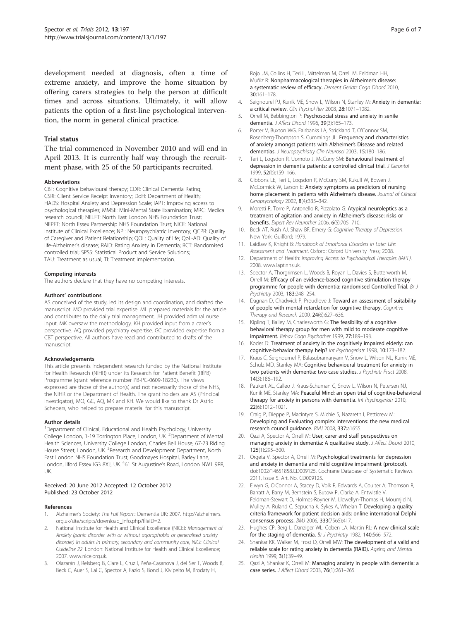<span id="page-5-0"></span>development needed at diagnosis, often a time of extreme anxiety, and improve the home situation by offering carers strategies to help the person at difficult times and across situations. Ultimately, it will allow patients the option of a first-line psychological intervention, the norm in general clinical practice.

#### Trial status

The trial commenced in November 2010 and will end in April 2013. It is currently half way through the recruitment phase, with 25 of the 50 participants recruited.

#### Abbreviations

CBT: Cognitive behavioural therapy; CDR: Clinical Dementia Rating; CSRI: Client Service Receipt Inventory; DoH: Department of Health; HADS: Hospital Anxiety and Depression Scale; IAPT: Improving access to psychological therapies; MMSE: Mini-Mental State Examination; MRC: Medical research council; NELFT: North East London NHS Foundation Trust; NEPFT: North Essex Partnership NHS Foundation Trust; NICE: National Institute of Clinical Excellence; NPI: Neuropsychiatric Inventory; QCPR: Quality of Caregiver and Patient Relationship; QOL: Quality of life; QoL-AD: Quality of life-Alzheimer's disease; RAID: Rating Anxiety in Dementia; RCT: Randomised controlled trial; SPSS: Statistical Product and Service Solutions; TAU: Treatment as usual; TI: Treatment implementation.

#### Competing interests

The authors declare that they have no competing interests.

#### Authors' contributions

AS conceived of the study, led its design and coordination, and drafted the manuscript. MO provided trial expertise. ML prepared materials for the article and contributes to the daily trial management. JH provided admiral nurse input. MK oversaw the methodology. KH provided input from a carer's perspective. AQ provided psychiatry expertise. GC provided expertise from a CBT perspective. All authors have read and contributed to drafts of the manuscript.

#### Acknowledgements

This article presents independent research funded by the National Institute for Health Research (NIHR) under its Research for Patient Benefit (RfPB) Programme (grant reference number PB-PG-0609-18230). The views expressed are those of the author(s) and not necessarily those of the NHS, the NIHR or the Department of Health. The grant holders are AS (Principal Investigator), MO, GC, AQ, MK and KH. We would like to thank Dr Astrid Schepers, who helped to prepare material for this manuscript.

#### Author details

<sup>1</sup>Department of Clinical, Educational and Health Psychology, University College London, 1-19 Torrington Place, London, UK. <sup>2</sup> Department of Mental Health Sciences, University College London, Charles Bell House, 67-73 Riding House Street, London, UK. <sup>3</sup>Research and Development Department, North East London NHS Foundation Trust, Goodmayes Hospital, Barley Lane, London, Ilford Essex IG3 8XJ, UK. <sup>4</sup>61 St Augustine's Road, London NW1 9RR, UK.

#### Received: 20 June 2012 Accepted: 12 October 2012 Published: 23 October 2012

#### References

- 1. Alzheimer's Society: The Full Report.: Dementia UK; 2007. [http://alzheimers.](http://alzheimers.org.uk/site/scripts/download_info.php?fileID=2) [org.uk/site/scripts/download\\_info.php?fileID=2.](http://alzheimers.org.uk/site/scripts/download_info.php?fileID=2)
- National Institute for Health and Clinical Excellence (NICE): Management of Anxiety (panic disorder with or without agoraphobia or generalised anxiety disorder) in adults in primary, secondary and community care, NICE Clinical Guideline 22. London: National Institute for Health and Clinical Excellence; 2007. [www.nice.org.uk.](http://www.nice.org.uk)
- 3. Olazarán J, Reisberg B, Clare L, Cruz I, Peña-Casanova J, del Ser T, Woods B, Beck C, Auer S, Lai C, Spector A, Fazio S, Bond J, Kivipelto M, Brodaty H,

Rojo JM, Collins H, Teri L, Mittelman M, Orrell M, Feldman HH, Muñiz R: Nonpharmacological therapies in Alzheimer's disease: a systematic review of efficacy. Dement Geriatr Cogn Disord 2010, 30:161–178.

- 4. Seignourel PJ, Kunik ME, Snow L, Wilson N, Stanley M: Anxiety in dementia: a critical review. Clin Psychol Rev 2008, 28:1071–1082.
- 5. Orrell M, Bebbington P: Psychosocial stress and anxiety in senile dementia. J Affect Disord 1996, 39(3):165–173.
- 6. Porter V, Buxton WG, Fairbanks LA, Strickland T, O'Connor SM, Rosenberg-Thompson S, Cummings JL: Frequency and characteristics of anxiety amongst patients with Alzheimer's Disease and related dementias. J Neuropsychiatry Clin Neurosci 2003, 15:180-186.
- 7. Teri L, Logsdon R, Uomoto J, McCurry SM: Behavioural treatment of depression in dementia patients: a controlled clinical trial. J Gerontol 1999, 52(b):159–166.
- 8. Gibbons LE, Teri L, Logsdon R, McCurry SM, Kukull W, Bowen J, McCormick W, Larson E: Anxiety symptoms as predictors of nursing home placement in patients with Alzheimer's disease. Journal of Clinical Geropsychology 2002, 8(4):335–342.
- 9. Moretti R, Torre P, Antonello R, Pizzolato G: Atypical neuroleptics as a treatment of agitation and anxiety in Alzheimer's disease: risks or benefits. Expert Rev Neurother 2006, 6(5):705–710.
- 10. Beck AT, Rush AJ, Shaw BF, Emery G: Cognitive Therapy of Depression. New York: Guilford; 1979.
- 11. Laidlaw K, Knight B: Handbook of Emotional Disorders in Later Life: Assessment and Treatment. Oxford: Oxford University Press; 2008.
- 12. Department of Health: Improving Access to Psychological Therapies (IAPT). 2008. [www.iapt.nhs.uk](http://www.iapt.nhs.uk).
- 13. Spector A, Thorgrimsen L, Woods B, Royan L, Davies S, Butterworth M, Orrell M: Efficacy of an evidence-based cognitive stimulation therapy programme for people with dementia: randomised Controlled Trial. Br J Psychiatry 2003, 183:248–254.
- 14. Dagnan D, Chadwick P, Proudlove J: Toward an assessment of suitability of people with mental retardation for cognitive therapy. Cognitive Therapy and Research 2000, 24(6):627–636.
- 15. Kipling T, Bailey M, Charlesworth G: The feasibility of a cognitive behavioral therapy group for men with mild to moderate cognitive impairment. Behav Cogn Psychother 1999, 27:189–193.
- 16. Koder D: Treatment of anxiety in the cognitively impaired elderly: can cognitive-behavior therapy help? Int Psychogeriatr 1998, 10:173-182.
- 17. Kraus C, Seignournel P, Balasubramanyam V, Snow L, Wilson NL, Kunik ME, Schulz MD, Stanley MA: Cognitive behavioural treatment for anxiety in two patients with dementia: two case studies. J Psychiatr Pract 2008, 14(3):186–192.
- 18. Paukert AL, Calleo J, Kraus-Schuman C, Snow L, Wilson N, Petersen NJ, Kunik ME, Stanley MA: Peaceful Mind: an open trial of cognitive-behavioral therapy for anxiety in persons with dementia. Int Psychogeriatr 2010, 22(6):1012–1021.
- 19. Craig P, Dieppe P, Macintyre S, Michie S, Nazareth I, Petticrew M: Developing and Evaluating complex interventions: the new medical research council guidance. BMJ 2008, 337:a1655.
- 20. Qazi A, Spector A, Orrell M: User, carer and staff perspectives on managing anxiety in dementia: A qualitative study. J Affect Disord 2010, 125(1):295–300.
- 21. Orgeta V, Spector A, Orrell M: Psychological treatments for depression and anxiety in dementia and mild cognitive impairment (protocol). doi[:1002/14651858.CD009125.](http://dx.doi.org/1002/14651858.CD009125) Cochrane Database of Systematic Reviews 2011, Issue 5. Art. No. CD009125.
- 22. Elwyn G, O'Connor A, Stacey D, Volk R, Edwards A, Coulter A, Thomson R, Barratt A, Barry M, Bernstein S, Butow P, Clarke A, Entwistle V, Feldman-Stewart D, Holmes-Royner M, Llewellyn-Thomas H, Moumjid N, Mulley A, Ruland C, Sepucha K, Sykes A, Whelan T: Developing a quality criteria framework for patient decision aids: online international Delphi consensus process. BMJ 2006, 333(7565):417.
- 23. Hughes CP, Berg L, Danziger WL, Coben LA, Martin RL: A new clinical scale for the staging of dementia. Br J Psychiatry 1982, 140:566-572.
- 24. Shankar KK, Walker M, Frost D, Orrell MW: The development of a valid and reliable scale for rating anxiety in dementia (RAID). Ageing and Mental Health 1999, 3(1):39–49.
- 25. Qazi A, Shankar K, Orrell M: Managing anxiety in people with dementia: a case series. J Affect Disord 2003, 76(1):261–265.